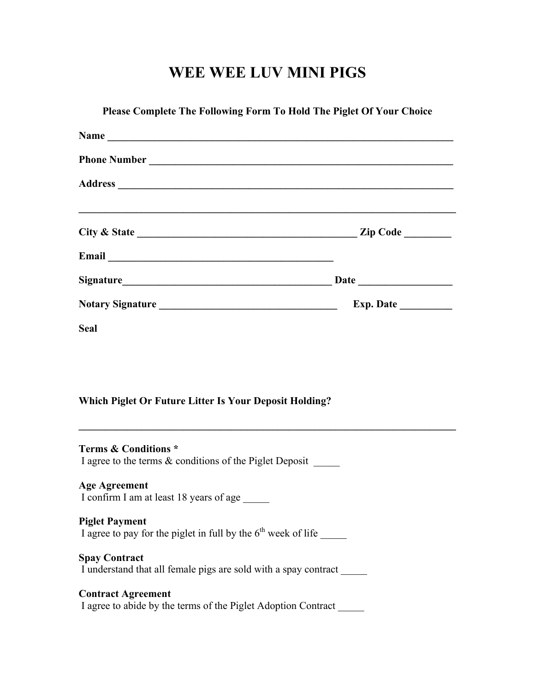# **WEE WEE LUV MINI PIGS**

| <b>Seal</b><br><b>Which Piglet Or Future Litter Is Your Deposit Holding?</b><br><u> 1989 - Johann Stoff, amerikansk politiker (d. 1989)</u><br><b>Terms &amp; Conditions *</b><br>I agree to the terms & conditions of the Piglet Deposit ______<br><b>Age Agreement</b><br>I confirm I am at least 18 years of age<br><b>Piglet Payment</b><br>I agree to pay for the piglet in full by the $6th$ week of life<br><b>Spay Contract</b><br>I understand that all female pigs are sold with a spay contract | Please Complete The Following Form To Hold The Piglet Of Your Choice |  |
|------------------------------------------------------------------------------------------------------------------------------------------------------------------------------------------------------------------------------------------------------------------------------------------------------------------------------------------------------------------------------------------------------------------------------------------------------------------------------------------------------------|----------------------------------------------------------------------|--|
|                                                                                                                                                                                                                                                                                                                                                                                                                                                                                                            |                                                                      |  |
|                                                                                                                                                                                                                                                                                                                                                                                                                                                                                                            |                                                                      |  |
|                                                                                                                                                                                                                                                                                                                                                                                                                                                                                                            |                                                                      |  |
|                                                                                                                                                                                                                                                                                                                                                                                                                                                                                                            |                                                                      |  |
|                                                                                                                                                                                                                                                                                                                                                                                                                                                                                                            |                                                                      |  |
|                                                                                                                                                                                                                                                                                                                                                                                                                                                                                                            |                                                                      |  |
|                                                                                                                                                                                                                                                                                                                                                                                                                                                                                                            |                                                                      |  |
|                                                                                                                                                                                                                                                                                                                                                                                                                                                                                                            |                                                                      |  |
|                                                                                                                                                                                                                                                                                                                                                                                                                                                                                                            |                                                                      |  |
|                                                                                                                                                                                                                                                                                                                                                                                                                                                                                                            |                                                                      |  |
|                                                                                                                                                                                                                                                                                                                                                                                                                                                                                                            |                                                                      |  |
|                                                                                                                                                                                                                                                                                                                                                                                                                                                                                                            |                                                                      |  |
|                                                                                                                                                                                                                                                                                                                                                                                                                                                                                                            |                                                                      |  |
|                                                                                                                                                                                                                                                                                                                                                                                                                                                                                                            |                                                                      |  |
|                                                                                                                                                                                                                                                                                                                                                                                                                                                                                                            |                                                                      |  |
|                                                                                                                                                                                                                                                                                                                                                                                                                                                                                                            |                                                                      |  |
|                                                                                                                                                                                                                                                                                                                                                                                                                                                                                                            |                                                                      |  |
|                                                                                                                                                                                                                                                                                                                                                                                                                                                                                                            |                                                                      |  |
|                                                                                                                                                                                                                                                                                                                                                                                                                                                                                                            |                                                                      |  |
|                                                                                                                                                                                                                                                                                                                                                                                                                                                                                                            |                                                                      |  |
|                                                                                                                                                                                                                                                                                                                                                                                                                                                                                                            |                                                                      |  |

I agree to abide by the terms of the Piglet Adoption Contract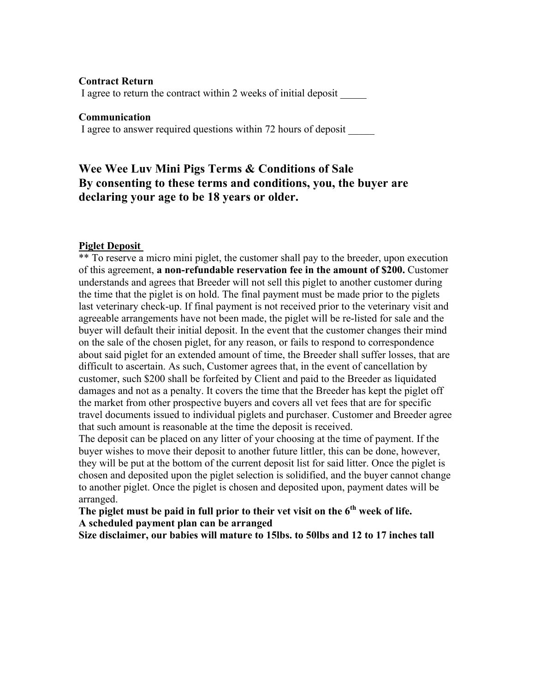#### **Contract Return**

I agree to return the contract within 2 weeks of initial deposit \_\_\_\_\_

#### **Communication**

I agree to answer required questions within 72 hours of deposit

# **Wee Wee Luv Mini Pigs Terms & Conditions of Sale By consenting to these terms and conditions, you, the buyer are declaring your age to be 18 years or older.**

### **Piglet Deposit**

\*\* To reserve a micro mini piglet, the customer shall pay to the breeder, upon execution of this agreement, **a non-refundable reservation fee in the amount of \$200.** Customer understands and agrees that Breeder will not sell this piglet to another customer during the time that the piglet is on hold. The final payment must be made prior to the piglets last veterinary check-up. If final payment is not received prior to the veterinary visit and agreeable arrangements have not been made, the piglet will be re-listed for sale and the buyer will default their initial deposit. In the event that the customer changes their mind on the sale of the chosen piglet, for any reason, or fails to respond to correspondence about said piglet for an extended amount of time, the Breeder shall suffer losses, that are difficult to ascertain. As such, Customer agrees that, in the event of cancellation by customer, such \$200 shall be forfeited by Client and paid to the Breeder as liquidated damages and not as a penalty. It covers the time that the Breeder has kept the piglet off the market from other prospective buyers and covers all vet fees that are for specific travel documents issued to individual piglets and purchaser. Customer and Breeder agree that such amount is reasonable at the time the deposit is received.

The deposit can be placed on any litter of your choosing at the time of payment. If the buyer wishes to move their deposit to another future littler, this can be done, however, they will be put at the bottom of the current deposit list for said litter. Once the piglet is chosen and deposited upon the piglet selection is solidified, and the buyer cannot change to another piglet. Once the piglet is chosen and deposited upon, payment dates will be arranged.

**The piglet must be paid in full prior to their vet visit on the 6th week of life. A scheduled payment plan can be arranged**

**Size disclaimer, our babies will mature to 15lbs. to 50lbs and 12 to 17 inches tall**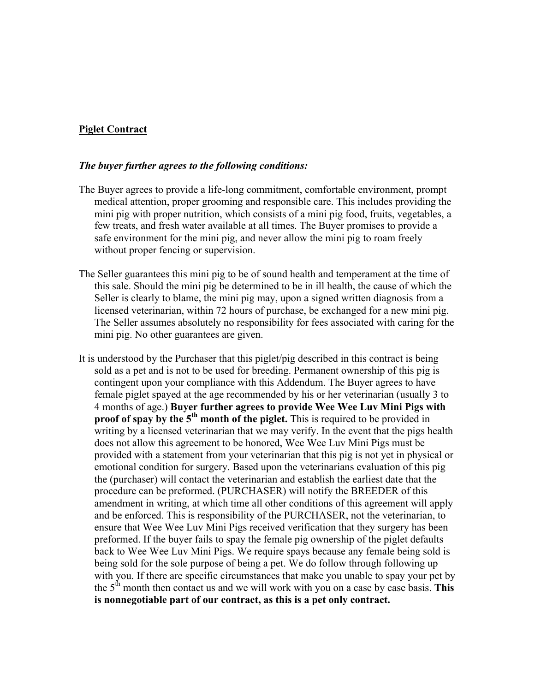## **Piglet Contract**

#### *The buyer further agrees to the following conditions:*

- The Buyer agrees to provide a life-long commitment, comfortable environment, prompt medical attention, proper grooming and responsible care. This includes providing the mini pig with proper nutrition, which consists of a mini pig food, fruits, vegetables, a few treats, and fresh water available at all times. The Buyer promises to provide a safe environment for the mini pig, and never allow the mini pig to roam freely without proper fencing or supervision.
- The Seller guarantees this mini pig to be of sound health and temperament at the time of this sale. Should the mini pig be determined to be in ill health, the cause of which the Seller is clearly to blame, the mini pig may, upon a signed written diagnosis from a licensed veterinarian, within 72 hours of purchase, be exchanged for a new mini pig. The Seller assumes absolutely no responsibility for fees associated with caring for the mini pig. No other guarantees are given.
- It is understood by the Purchaser that this piglet/pig described in this contract is being sold as a pet and is not to be used for breeding. Permanent ownership of this pig is contingent upon your compliance with this Addendum. The Buyer agrees to have female piglet spayed at the age recommended by his or her veterinarian (usually 3 to 4 months of age.) **Buyer further agrees to provide Wee Wee Luv Mini Pigs with proof of spay by the 5<sup>th</sup> month of the piglet.** This is required to be provided in writing by a licensed veterinarian that we may verify. In the event that the pigs health does not allow this agreement to be honored, Wee Wee Luv Mini Pigs must be provided with a statement from your veterinarian that this pig is not yet in physical or emotional condition for surgery. Based upon the veterinarians evaluation of this pig the (purchaser) will contact the veterinarian and establish the earliest date that the procedure can be preformed. (PURCHASER) will notify the BREEDER of this amendment in writing, at which time all other conditions of this agreement will apply and be enforced. This is responsibility of the PURCHASER, not the veterinarian, to ensure that Wee Wee Luv Mini Pigs received verification that they surgery has been preformed. If the buyer fails to spay the female pig ownership of the piglet defaults back to Wee Wee Luv Mini Pigs. We require spays because any female being sold is being sold for the sole purpose of being a pet. We do follow through following up with you. If there are specific circumstances that make you unable to spay your pet by the  $5<sup>th</sup>$  month then contact us and we will work with you on a case by case basis. **This is nonnegotiable part of our contract, as this is a pet only contract.**